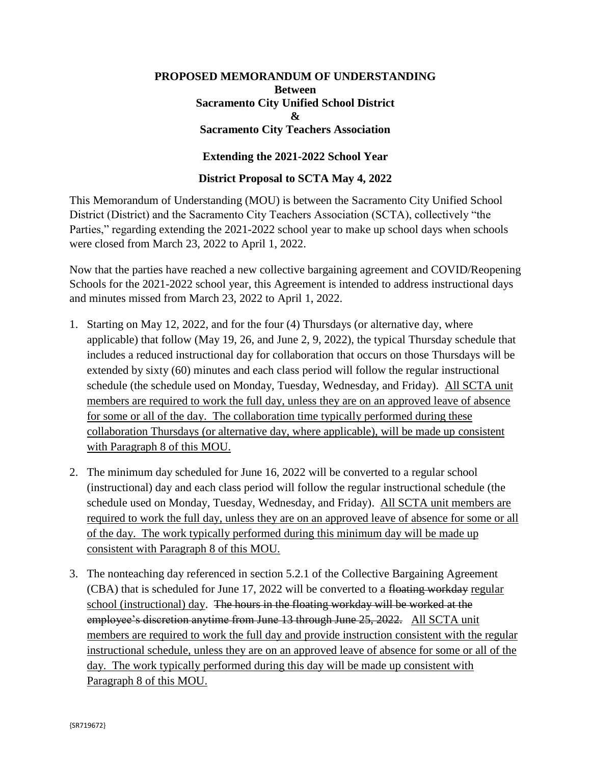# **PROPOSED MEMORANDUM OF UNDERSTANDING Between Sacramento City Unified School District & Sacramento City Teachers Association**

## **Extending the 2021-2022 School Year**

### **District Proposal to SCTA May 4, 2022**

This Memorandum of Understanding (MOU) is between the Sacramento City Unified School District (District) and the Sacramento City Teachers Association (SCTA), collectively "the Parties," regarding extending the 2021-2022 school year to make up school days when schools were closed from March 23, 2022 to April 1, 2022.

Now that the parties have reached a new collective bargaining agreement and COVID/Reopening Schools for the 2021-2022 school year, this Agreement is intended to address instructional days and minutes missed from March 23, 2022 to April 1, 2022.

- 1. Starting on May 12, 2022, and for the four (4) Thursdays (or alternative day, where applicable) that follow (May 19, 26, and June 2, 9, 2022), the typical Thursday schedule that includes a reduced instructional day for collaboration that occurs on those Thursdays will be extended by sixty (60) minutes and each class period will follow the regular instructional schedule (the schedule used on Monday, Tuesday, Wednesday, and Friday). All SCTA unit members are required to work the full day, unless they are on an approved leave of absence for some or all of the day. The collaboration time typically performed during these collaboration Thursdays (or alternative day, where applicable), will be made up consistent with Paragraph 8 of this MOU.
- 2. The minimum day scheduled for June 16, 2022 will be converted to a regular school (instructional) day and each class period will follow the regular instructional schedule (the schedule used on Monday, Tuesday, Wednesday, and Friday). All SCTA unit members are required to work the full day, unless they are on an approved leave of absence for some or all of the day. The work typically performed during this minimum day will be made up consistent with Paragraph 8 of this MOU.
- 3. The nonteaching day referenced in section 5.2.1 of the Collective Bargaining Agreement (CBA) that is scheduled for June 17, 2022 will be converted to a floating workday regular school (instructional) day. The hours in the floating workday will be worked at the employee's discretion anytime from June 13 through June 25, 2022. All SCTA unit members are required to work the full day and provide instruction consistent with the regular instructional schedule, unless they are on an approved leave of absence for some or all of the day. The work typically performed during this day will be made up consistent with Paragraph 8 of this MOU.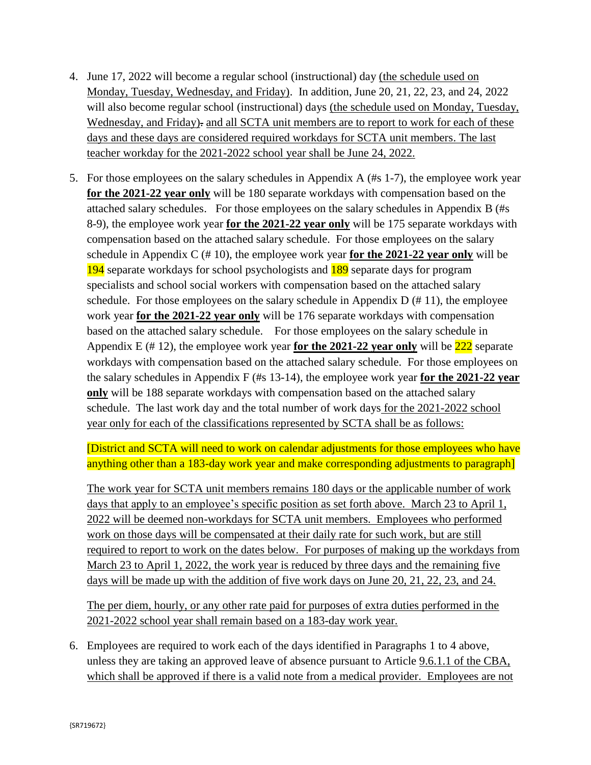- 4. June 17, 2022 will become a regular school (instructional) day (the schedule used on Monday, Tuesday, Wednesday, and Friday). In addition, June 20, 21, 22, 23, and 24, 2022 will also become regular school (instructional) days (the schedule used on Monday, Tuesday, Wednesday, and Friday). and all SCTA unit members are to report to work for each of these days and these days are considered required workdays for SCTA unit members. The last teacher workday for the 2021-2022 school year shall be June 24, 2022.
- 5. For those employees on the salary schedules in Appendix A (#s 1-7), the employee work year **for the 2021-22 year only** will be 180 separate workdays with compensation based on the attached salary schedules. For those employees on the salary schedules in Appendix B (#s 8-9), the employee work year **for the 2021-22 year only** will be 175 separate workdays with compensation based on the attached salary schedule. For those employees on the salary schedule in Appendix C (# 10), the employee work year **for the 2021-22 year only** will be 194 separate workdays for school psychologists and 189 separate days for program specialists and school social workers with compensation based on the attached salary schedule. For those employees on the salary schedule in Appendix  $D(\text{# }11)$ , the employee work year **for the 2021-22 year only** will be 176 separate workdays with compensation based on the attached salary schedule. For those employees on the salary schedule in Appendix E (# 12), the employee work year **for the 2021-22 year only** will be 222 separate workdays with compensation based on the attached salary schedule. For those employees on the salary schedules in Appendix F (#s 13-14), the employee work year **for the 2021-22 year only** will be 188 separate workdays with compensation based on the attached salary schedule. The last work day and the total number of work days for the 2021-2022 school year only for each of the classifications represented by SCTA shall be as follows:

[District and SCTA will need to work on calendar adjustments for those employees who have anything other than a 183-day work year and make corresponding adjustments to paragraph]

The work year for SCTA unit members remains 180 days or the applicable number of work days that apply to an employee's specific position as set forth above. March 23 to April 1, 2022 will be deemed non-workdays for SCTA unit members. Employees who performed work on those days will be compensated at their daily rate for such work, but are still required to report to work on the dates below. For purposes of making up the workdays from March 23 to April 1, 2022, the work year is reduced by three days and the remaining five days will be made up with the addition of five work days on June 20, 21, 22, 23, and 24.

The per diem, hourly, or any other rate paid for purposes of extra duties performed in the 2021-2022 school year shall remain based on a 183-day work year.

6. Employees are required to work each of the days identified in Paragraphs 1 to 4 above, unless they are taking an approved leave of absence pursuant to Article  $9.6.1.1$  of the CBA, which shall be approved if there is a valid note from a medical provider. Employees are not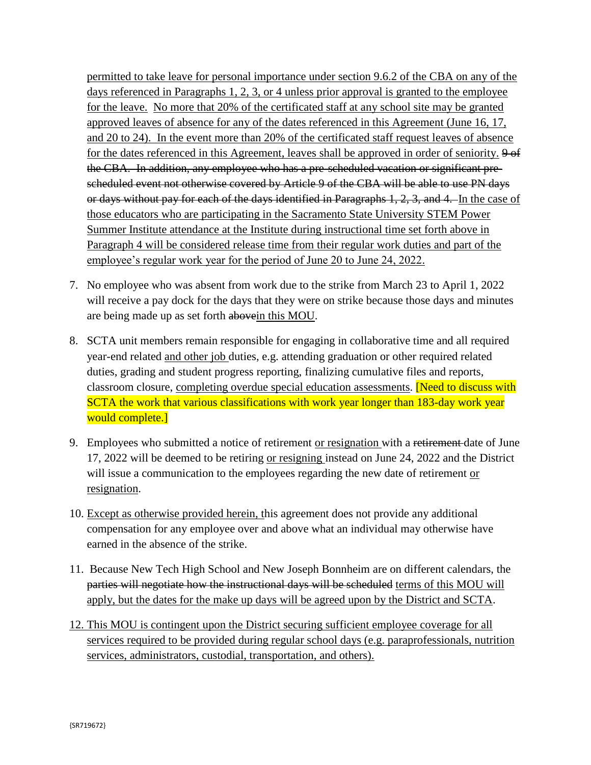permitted to take leave for personal importance under section 9.6.2 of the CBA on any of the days referenced in Paragraphs 1, 2, 3, or 4 unless prior approval is granted to the employee for the leave. No more that 20% of the certificated staff at any school site may be granted approved leaves of absence for any of the dates referenced in this Agreement (June 16, 17, and 20 to 24). In the event more than 20% of the certificated staff request leaves of absence for the dates referenced in this Agreement, leaves shall be approved in order of seniority. 9 of the CBA. In addition, any employee who has a pre-scheduled vacation or significant prescheduled event not otherwise covered by Article 9 of the CBA will be able to use PN days or days without pay for each of the days identified in Paragraphs 1, 2, 3, and 4. In the case of those educators who are participating in the Sacramento State University STEM Power Summer Institute attendance at the Institute during instructional time set forth above in Paragraph 4 will be considered release time from their regular work duties and part of the employee's regular work year for the period of June 20 to June 24, 2022.

- 7. No employee who was absent from work due to the strike from March 23 to April 1, 2022 will receive a pay dock for the days that they were on strike because those days and minutes are being made up as set forth abovein this MOU.
- 8. SCTA unit members remain responsible for engaging in collaborative time and all required year-end related and other job duties, e.g. attending graduation or other required related duties, grading and student progress reporting, finalizing cumulative files and reports, classroom closure, completing overdue special education assessments. **[Need to discuss with** SCTA the work that various classifications with work year longer than 183-day work year would complete.]
- 9. Employees who submitted a notice of retirement or resignation with a retirement date of June 17, 2022 will be deemed to be retiring or resigning instead on June 24, 2022 and the District will issue a communication to the employees regarding the new date of retirement or resignation.
- 10. Except as otherwise provided herein, this agreement does not provide any additional compensation for any employee over and above what an individual may otherwise have earned in the absence of the strike.
- 11. Because New Tech High School and New Joseph Bonnheim are on different calendars, the parties will negotiate how the instructional days will be scheduled terms of this MOU will apply, but the dates for the make up days will be agreed upon by the District and SCTA.
- 12. This MOU is contingent upon the District securing sufficient employee coverage for all services required to be provided during regular school days (e.g. paraprofessionals, nutrition services, administrators, custodial, transportation, and others).